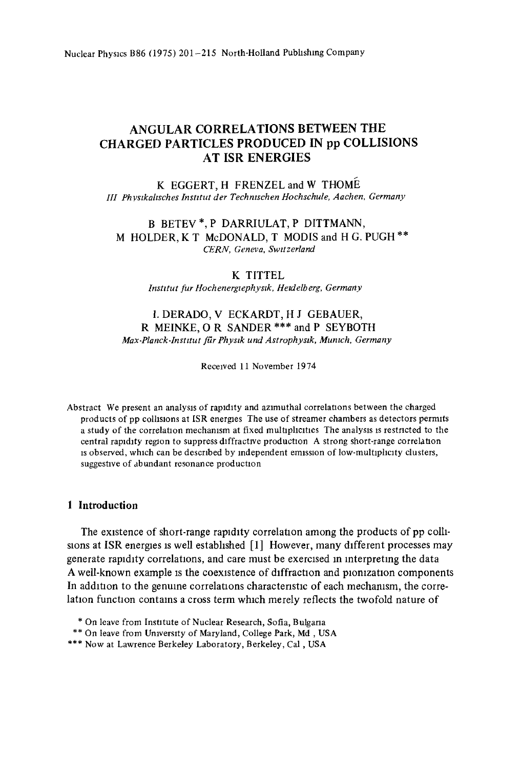# **ANGULAR CORRELATIONS BETWEEN THE CHARGED PARTICLES PRODUCED IN pp COLLISIONS AT ISR ENERGIES**

**K EGGERT, H FRENZEL and W** THOME *111 Phvstkahsches lnstttut der Teehmschen Hochschule, Aachen, Germany* 

B BETEV\*, P DARRIULAT, P DITTMANN, M HOLDER, K T McDONALD, T MODIS and H G. PUGH \*\* *CERN, Geneva, Swttzerland* 

## **K** TITTEL

*Instttut fur Hochenergtephystk, Hetclelberg, Germany* 

# I. DERADO, V ECKARDT, H J GEBAUER, **R MEINKE, O R** SANDER \*\*\* and P SEYBOTH  $Max-Planck-Institut für Physik und Astrophysik, Munich, Germany$

Received 11 November 1974

Abstract We present an analysis of rapidity and azimuthal correlations between the charged products of pp colhslons at ISR energies The use of streamer chambers as detectors permlts a study of the correlation mechanism at fixed multiplicities The analysis is restricted to the central rapidity region to suppress diffractive production A strong short-range correlation is observed, which can be described by independent emission of low-multiplicity clusters, suggestive of abundant resonance production

## **1 Introduction**

The existence of short-range rapidity correlation among the products of pp colhslons at ISR energies is well estabhshed [1] However, many different processes may generate rapidity correlations, and care must be exercised m interpreting the data A well-known example is the coexistence of diffraction and pionization components In addition to the genuine correlations characteristic of each mechamsm, the correlation function contains a cross term which merely reflects the twofold nature of

<sup>\*</sup> On leave from Institute of Nuclear Research, Sofia, Bulgaria

<sup>\*\*</sup> On leave from University of Maryland, College Park, Md, USA

<sup>\*\*\*</sup> Now at Lawrence Berkeley Laboratory, Berkeley, Cal, USA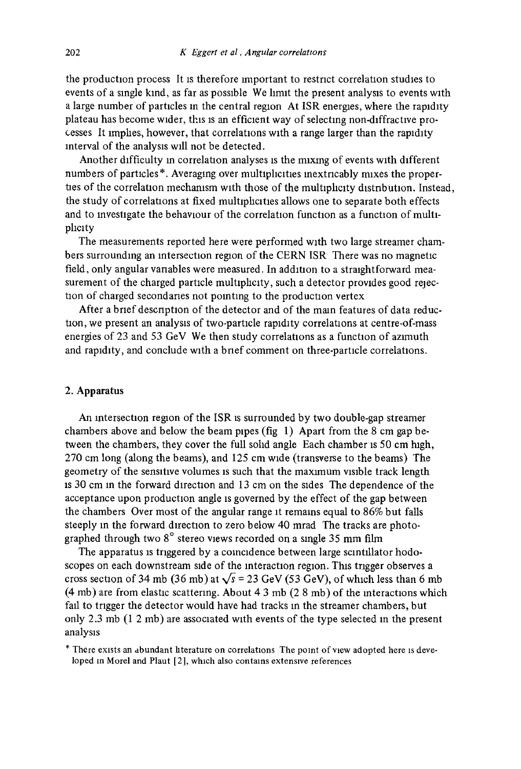the production process It is therefore Important to restrict correlation studies to events of a single kind, as far as possible We limit the present analysis to events with a large number of particles m the central region At ISR energies, where the rapidity plateau has become wider, this is an efficient way of selecting non-diffractive processes It lmphes, however, that correlations with a range larger than the rapidity interval of the analysis will not be detected.

Another difficulty in correlation analyses is the mixing of events with different numbers of particles\*. Averaging over multiplicities inextricably mixes the properties of the correlation mechanism with those of the multiplicity distribution. Instead, the study of correlations at fixed multiphcities allows one to separate both effects and to investigate the behavlour of the correlation function as a function of multiphcity

The measurements reported here were performed with two large streamer chambers surrounding an Intersection region of the CERN ISR There was no magnetic field, only angular vanables were measured. In addition to a straightforward measurement of the charged particle multiplicity, such a detector provides good rejection of charged secondaries not pointing to the production vertex

After a brief description of the detector and of the main features of data reduction, we present an analysis of two-particle rapidity correlations at centre-of-mass energies of 23 and 53 GeV We then study correlations as a function of azimuth and rapidity, and conclude with a brief comment on three-particle correlations.

## 2. Apparatus

An intersection region of the ISR is surrounded by two double-gap streamer chambers above and below the beam pipes (fig 1) Apart from the 8 cm gap between the chambers, they cover the full sohd angle Each chamber Is 50 cm high, 270 cm long (along the beams), and 125 cm wide (transverse to the beams) The geometry of the sensitive volumes is such that the maximum visible track length is 30 cm in the forward direction and 13 cm on the sides The dependence of the acceptance upon production angle IS governed by the effect of the gap between the chambers Over most of the angular range it remains equal to 86% but falls steeply m the forward direction to zero below 40 mrad The tracks are photographed through two 8° stereo views recorded on a single 35 mm film

The apparatus is triggered by a coincidence between large scintillator hodoscopes on each downstream side of the interaction region. This trigger observes a cross section of 34 mb (36 mb) at  $\sqrt{s}$  = 23 GeV (53 GeV), of which less than 6 mb (4 mb) are from elastic scattering. About 4 3 mb (2 8 mb) of the interactions which fall to trigger the detector would have had tracks m the streamer chambers, but only  $2.3 \text{ mb}$   $(1 2 \text{ mb})$  are associated with events of the type selected in the present analysis

\* There exists an abundant hterature on correlations The point of view adopted here :s developed m Morel and Plaut [2], which also contains extensive references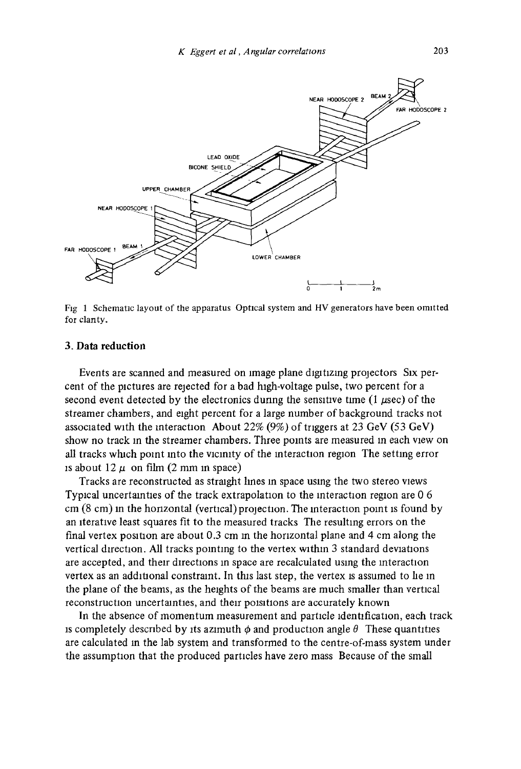

Fig **1** Schematic layout of the apparatus Optical system and HV generators have been omitted for clanty.

#### 3. Data **reduction**

Events are scanned and measured on image plane digitizing projectors Six percent of the pictures are rejected for a bad high-voltage pulse, two percent for a second event detected by the electronics during the sensitive time  $(1 \mu \text{sec})$  of the streamer chambers, and eight percent for a large number of background tracks not associated with the interaction About 22% (9%) of triggers at 23 GeV (53 GeV) show no track in the streamer chambers. Three points are measured in each view on all tracks wluch point into the vicinity of the interaction region The setting error is about  $12 \mu$  on film (2 mm in space)

Tracks are reconstructed as straight lines In space using the two stereo views Typical uncertainties of the track extrapolation to the interaction region are 0 6 cm (8 cm) in the horizontal (vertical) projection. The interaction point is found by an iterative least squares fit to the measured tracks The resulting errors on the final vertex position are about 0.3 cm in the horizontal plane and 4 cm along the vertical direction. All tracks pointing to the vertex within 3 standard deviations are accepted, and their directions an space are recalculated using the interaction vertex as an additional constraint. In this last step, the vertex is assumed to lie in the plane of the beams, as the heights of the beams are much smaller than vertical reconstruction uncertainties, and their poisitions are accurately known

In the absence of momentum measurement and particle identification, each track is completely described by its azimuth  $\phi$  and production angle  $\theta$  These quantities are calculated in the lab system and transformed to the centre-of-mass system under the assumption that the produced particles have zero mass Because of the small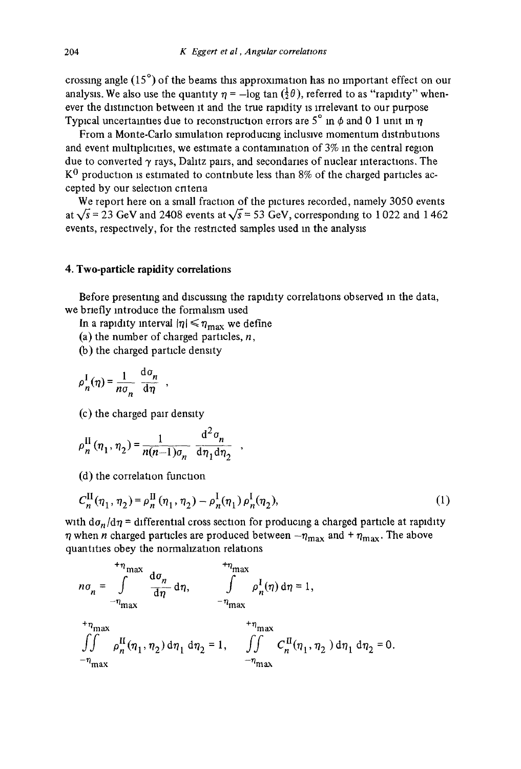crossing angle  $(15^{\circ})$  of the beams this approximation has no important effect on our analysis. We also use the quantity  $\eta = -\log \tan (\frac{1}{2} \theta)$ , referred to as "rapidity" whenever the distinction between it and the true rapidity is irrelevant to our purpose Typical uncertainties due to reconstruction errors are  $5^\circ$  in  $\phi$  and 0 1 unit in  $\eta$ 

From a Monte-Carlo simulation reproducing inclusive momentum distributions and event multiplicities, we estimate a contamination of  $3\%$  in the central region due to converted  $\gamma$  rays, Dahtz pairs, and secondaries of nuclear interactions. The  $K^0$  production is estimated to contribute less than 8% of the charged particles accepted by our selection cntena

We report here on a small fraction of the pictures recorded, namely 3050 events at  $\sqrt{s}$  = 23 GeV and 2408 events at  $\sqrt{s}$  = 53 GeV, corresponding to 1022 and 1462 events, respectively, for the restncted samples used in the analysis

## 4. Two-particle rapidity correlations

Before presenting and discussing the rapidity correlations observed in the data, we briefly introduce the formalism used

In a rapidity interval  $|\eta| \leq \eta_{\text{max}}$  we define

(a) the number of charged particles,  $n$ ,

(b) the charged particle density

$$
\rho_n^{\rm I}(\eta) = \frac{1}{n\sigma_n} \frac{d\sigma_n}{d\eta} ,
$$

(c) the charged pair density

$$
\rho_n^{\text{II}}(\eta_1, \eta_2) = \frac{1}{n(n-1)\sigma_n} \frac{d^2 \sigma_n}{d\eta_1 d\eta_2} ,
$$

(d) the correlation function

$$
C_n^{\text{II}}(\eta_1, \eta_2) = \rho_n^{\text{II}}(\eta_1, \eta_2) - \rho_n^{\text{I}}(\eta_1) \rho_n^{\text{I}}(\eta_2),
$$
 (1)

with  $d\sigma_n/d\eta$  = differential cross section for producing a charged particle at rapidity  $\eta$  when *n* charged particles are produced between  $-\eta_{\text{max}}$  and  $+\eta_{\text{max}}$ . The above quantities obey the normalization relations

$$
n\sigma_n = \int_{-\eta_{\text{max}}}^{\eta_{\text{max}}} \frac{d\sigma_n}{d\eta} d\eta, \qquad \int_{-\eta_{\text{max}}}^{\eta_{\text{max}}} \rho_n^1(\eta) d\eta = 1,
$$
  

$$
+ \eta_{\text{max}} + \eta_{\text{max}} + \eta_{\text{max}} + \eta_{\text{max}} + \eta_{\text{max}} + \eta_{\text{max}} + \eta_{\text{max}} + \eta_{\text{max}} + \eta_{\text{max}} + \eta_{\text{max}} + \eta_{\text{max}} + \eta_{\text{max}} + \eta_{\text{max}} + \eta_{\text{max}} + \eta_{\text{max}} + \eta_{\text{max}} + \eta_{\text{max}} + \eta_{\text{max}} + \eta_{\text{max}} + \eta_{\text{max}} + \eta_{\text{max}} + \eta_{\text{max}} + \eta_{\text{max}} + \eta_{\text{max}} + \eta_{\text{max}} + \eta_{\text{max}} + \eta_{\text{max}} + \eta_{\text{max}} + \eta_{\text{max}} + \eta_{\text{max}} + \eta_{\text{max}} + \eta_{\text{max}} + \eta_{\text{max}} + \eta_{\text{max}} + \eta_{\text{max}} + \eta_{\text{max}} + \eta_{\text{max}} + \eta_{\text{max}} + \eta_{\text{max}} + \eta_{\text{max}} + \eta_{\text{max}} + \eta_{\text{max}} + \eta_{\text{max}} + \eta_{\text{max}} + \eta_{\text{max}} + \eta_{\text{max}} + \eta_{\text{max}} + \eta_{\text{max}} + \eta_{\text{max}} + \eta_{\text{max}} + \eta_{\text{max}} + \eta_{\text{max}} + \eta_{\text{max}} + \eta_{\text{max}} + \eta_{\text{max}} + \eta_{\text{max}} + \eta_{\text{max}} + \eta_{\text{max}} + \eta_{\text{max}} + \eta_{\text{max}} + \eta_{\text{max}} + \eta_{\text{max}} + \eta_{\text{max}} + \eta_{\text{max}} + \eta_{\text{max}} + \eta_{\text{max}} + \eta_{\text{max}} + \eta_{\text{max}} + \eta_{\text{max}} + \eta_{\text{max}} + \eta_{\text{max}} + \eta_{\text{max}} + \eta_{\text{max}} + \eta_{\text{max}} + \eta_{\
$$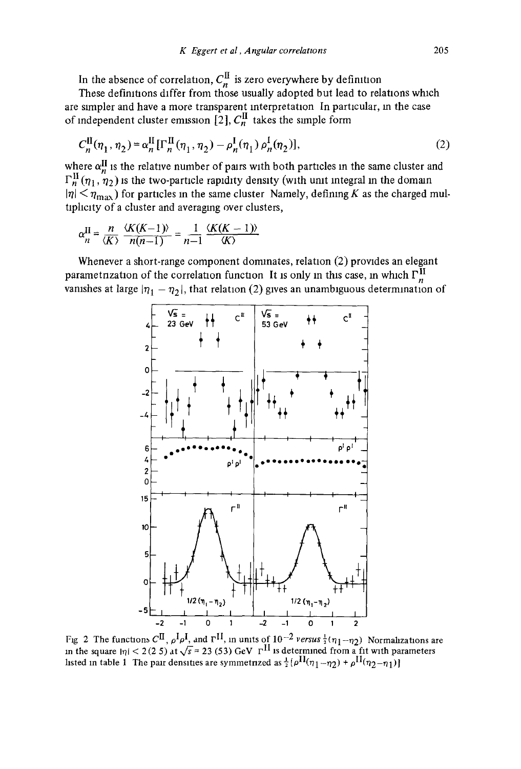In the absence of correlation,  $C_n^{\mathbf{n}}$  is zero everywhere by definition<br>These definitions differ from those usually adopted but lead to relations which are simpler and have a more transparent interpretation In particular, m the case of independent cluster emission  $[2]$ ,  $C_n^{\text{II}}$  takes the simple form

$$
C_n^{\text{II}}(\eta_1, \eta_2) = \alpha_n^{\text{II}} [\Gamma_n^{\text{II}}(\eta_1, \eta_2) - \rho_n^{\text{I}}(\eta_1) \rho_n^{\text{I}}(\eta_2)],
$$
 (2)

where  $\alpha_n^{\mathbf{H}}$  is the relative number of pairs with both particles in the same cluster and  $\Gamma_n^H(\eta_1, \eta_2)$  is the two-particle rapidity density (with unit integral in the domain  $|\eta| \leq \eta_{\text{max}}$ ) for particles in the same cluster Namely, defining K as the charged multiplicity of a cluster and averaging over clusters,

$$
\alpha_n^{\text{II}} = \frac{n}{\langle K \rangle} \frac{\langle K(K-1) \rangle}{n(n-1)} = \frac{1}{n-1} \frac{\langle K(K-1) \rangle}{\langle K \rangle}
$$

Whenever a short-range component dominates, relation (2) provides an elegant parametnzation of the correlation function It is only in this case, in which  $\Gamma_n^{\text{II}}$ vanishes at large  $|\eta_1 - \eta_2|$ , that relation (2) gives an unambiguous determination of



Fig 2 The functions  $C^{II}$ ,  $\rho^I \rho^I$ , and  $\Gamma^{II}$ , in units of  $10^{-2}$  *versus*  $\frac{1}{2}(\eta_1-\eta_2)$  Normalizations are in the square  $|\eta| < 2(2.5)$  at  $\sqrt{s} = 23(53)$  GeV  $\Gamma$ <sup>11</sup> is determined from a fit with parameters listed in table 1 The pair densities are symmetrized as  $\frac{1}{2}(\rho^{11}(\eta_1 - \eta_2) + \rho^{11}(\eta_2 - \eta_1))$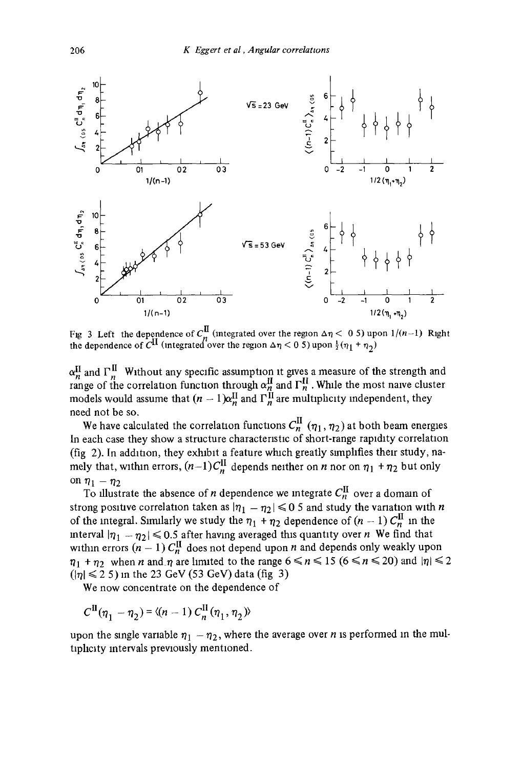

Fig 3 Left the dependence of  $C_{n}^{\mathbf{u}}$  (integrated over the region  $\Delta \eta < 0.5$ ) upon  $\frac{1}{2}(\eta_1 + \eta_2)$ <br>the dependence of  $C^{\mathbf{u}}$  (integrated over the region  $\Delta \eta < 0.5$ ) upon  $\frac{1}{2}(\eta_1 + \eta_2)$ 

 $\alpha_n^{\text{II}}$  and  $\Gamma_n^{\text{II}}$  Without any specific assumption it gives a measure of the strength and range of the correlation function through  $\alpha_n^{\text{II}}$  and  $\Gamma_n^{\text{II}}$ . While the most naive cluster models would assume that  $(n - 1)\alpha_n^{\mu}$  and  $\Gamma_n^{\mu}$  are multiphcity independent, they need not be so.

We have calculated the correlation functions  $C_n^{\prime\prime}$  ( $\eta_1$ ,  $\eta_2$ ) at both beam energies In each case they show a structure characteristic of short-range rapidity correlation (fig 2). In addition, they exhibit a feature which greatly simplifies their study, namely that, within errors,  $(n-1)C_n^{\text{II}}$  depends neither on n nor on  $\eta_1 + \eta_2$  but only on  $\eta_1 - \eta_2$ 

To illustrate the absence of *n* dependence we integrate  $C_n^{\text{II}}$  over a domain of strong positive correlation taken as  $|\eta_1 - \eta_2| \leq 0.5$  and study the variation with n of the integral. Similarly we study the  $\eta_1 + \eta_2$  dependence of  $(n - 1)$  C<sub>n</sub><sup>II</sup> in the interval  $|\eta_1 - \eta_2| \leq 0.5$  after having averaged this quantity over n We find that within errors  $(n - 1)$  C<sub>n</sub><sup>II</sup> does not depend upon *n* and depends only weakly upon  $\eta_1 + \eta_2$  when *n* and  $\eta$  are limited to the range  $6 \le n \le 15$  ( $6 \le n \le 20$ ) and  $|\eta| \le 2$  $(|\eta| \leq 25)$  in the 23 GeV (53 GeV) data (fig 3)

We now concentrate on the dependence of

$$
C^{\text{II}}(\eta_1 - \eta_2) = \langle (n-1) C^{\text{II}}_n(\eta_1, \eta_2) \rangle
$$

upon the single variable  $\eta_1 - \eta_2$ , where the average over *n* is performed in the multiplicity intervals previously mentioned.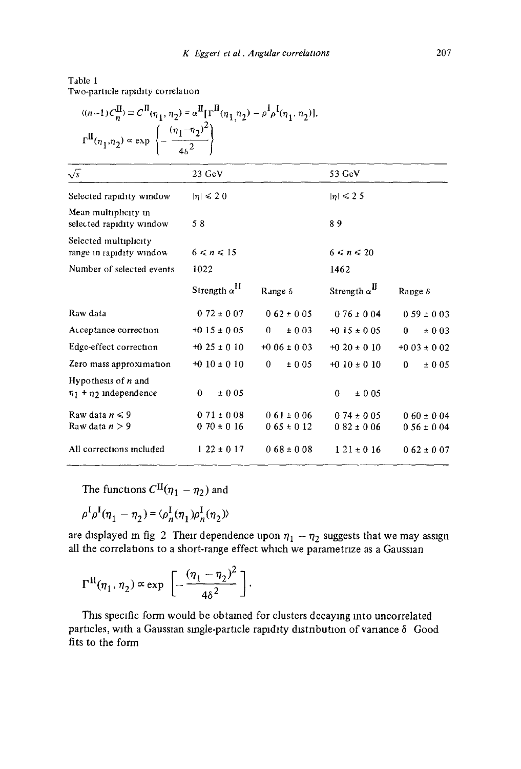# Table 1 Two-particle rapidity correlation

| $\begin{split} &\langle (n-1) C^{\text{II}}_n \rangle \equiv C^{\text{II}}(\eta_1, \eta_2) = \alpha^{\text{II}}[\Gamma^{\text{II}}(\eta_1, \eta_2) - \rho^{\text{I}}\rho^{\text{I}}(\eta_1, \eta_2)],\\ &\Gamma^{\text{II}}(\eta_1, \eta_2) \propto \exp\left\{-\frac{(\eta_1 - \eta_2)^2}{4\delta^2}\right\} \end{split}$ |                                    |                                    |                                    |                                    |  |
|----------------------------------------------------------------------------------------------------------------------------------------------------------------------------------------------------------------------------------------------------------------------------------------------------------------------------|------------------------------------|------------------------------------|------------------------------------|------------------------------------|--|
| $\sqrt{s}$                                                                                                                                                                                                                                                                                                                 | 23 GeV                             |                                    | 53 GeV                             |                                    |  |
| Selected rapidity window                                                                                                                                                                                                                                                                                                   | $ \eta  \leq 20$                   |                                    | $ n  \leq 2.5$                     |                                    |  |
| Mean multiplicity in<br>selected rapidity window                                                                                                                                                                                                                                                                           | 58                                 |                                    | 89                                 |                                    |  |
| Selected multiplicity<br>range in rapidity window                                                                                                                                                                                                                                                                          | $6 \leq n \leq 15$                 |                                    | $6 \le n \le 20$                   |                                    |  |
| Number of selected events                                                                                                                                                                                                                                                                                                  | 1022                               |                                    | 1462                               |                                    |  |
|                                                                                                                                                                                                                                                                                                                            | Strength $\alpha^{II}$             | Range $\delta$                     | Strength $\alpha^{\text{II}}$      | Range $\delta$                     |  |
| Raw data                                                                                                                                                                                                                                                                                                                   | $0.72 \pm 0.07$                    | $0.62 \pm 0.05$                    | $0.76 \pm 0.04$                    | $0.59 \pm 0.03$                    |  |
| Acceptance correction                                                                                                                                                                                                                                                                                                      | $+0.15 \pm 0.05$                   | $\Omega$<br>± 0.03                 | $+0.15 \pm 0.05$                   | ±003<br>$\bf{0}$                   |  |
| Edge-effect correction                                                                                                                                                                                                                                                                                                     | $+0.25 \pm 0.10$                   | $+0.06 \pm 0.03$                   | $+0.20 \pm 0.10$                   | $+0.03 \pm 0.02$                   |  |
| Zero mass approximation                                                                                                                                                                                                                                                                                                    | $+0.10 \pm 0.10$                   | 0<br>± 0.05                        | $+0.10 \pm 0.10$                   | $\mathbf{0}$<br>± 0.05             |  |
| Hypothesis of $n$ and<br>$\eta_1$ + $\eta_2$ independence                                                                                                                                                                                                                                                                  | $\mathbf{0}$<br>±005               |                                    | $\theta$<br>±005                   |                                    |  |
| Raw data $n \leq 9$<br>Raw data $n > 9$                                                                                                                                                                                                                                                                                    | $0.71 \pm 0.08$<br>$0.70 \pm 0.16$ | $0.61 \pm 0.06$<br>$0.65 \pm 0.12$ | $0.74 \pm 0.05$<br>$0.82 \pm 0.06$ | $0.60 \pm 0.04$<br>$0.56 \pm 0.04$ |  |
| All corrections included                                                                                                                                                                                                                                                                                                   | $122 \pm 017$                      | $0.68 \pm 0.08$                    | $121 \pm 016$                      | $0.62 \pm 0.07$                    |  |

The functions  $C^{II}(\eta_1 - \eta_2)$  and

$$
\rho^I \rho^I (\eta_1 - \eta_2) = \langle \rho^I_n(\eta_1) \rho^I_n(\eta_2) \rangle
$$

are displayed in fig 2 Their dependence upon  $\eta_1 - \eta_2$  suggests that we may assign all the correlations to a short-range effect which we parametrize as a Gaussian

$$
\Gamma^{\rm II}(\eta_1,\eta_2) \propto \exp\left[-\frac{(\eta_1-\eta_2)^2}{4\delta^2}\right].
$$

This specific form would be obtained for clusters decaying into uncorrelated particles, with a Gaussian single-particle rapidity distribution of variance  $\delta$  Good fits to the form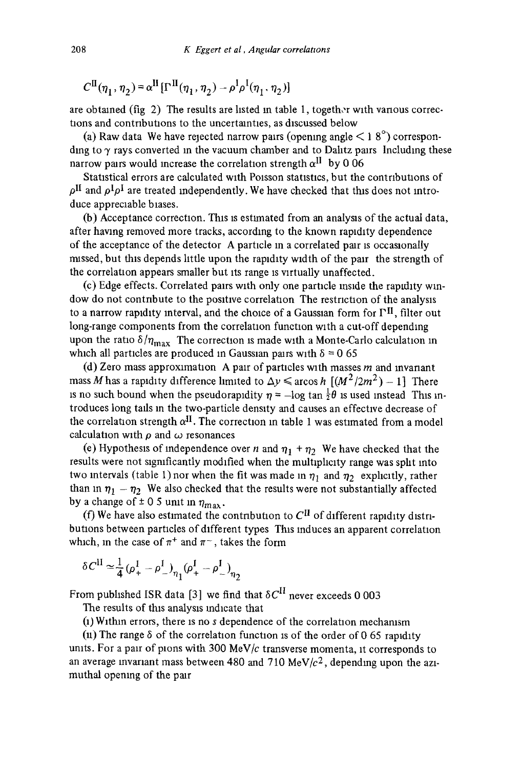$$
C^{\text{II}}(\boldsymbol{\eta}_1,\boldsymbol{\eta}_2) = \boldsymbol{\alpha}^{\text{II}}[\boldsymbol{\Gamma}^{\text{II}}(\boldsymbol{\eta}_1,\boldsymbol{\eta}_2) - \boldsymbol{\rho}^{\text{I}}\boldsymbol{\rho}^{\text{I}}(\boldsymbol{\eta}_1,\boldsymbol{\eta}_2)]
$$

are obtained (fig 2) The results are listed in table 1, together with vanous corrections and contributions to the uncertainties, as discussed below

(a) Raw data We have rejected narrow pairs (opening angle  $\leq 18^{\circ}$ ) corresponding to  $\gamma$  rays converted in the vacuum chamber and to Dalitz pairs Including these narrow pairs would increase the correlation strength  $\alpha$ <sup>II</sup> by 0 06

Statistical errors are calculated with Poisson statistics, but the contributions of  $\rho^{\rm II}$  and  $\rho^{\rm I} \rho^{\rm I}$  are treated independently. We have checked that this does not introduce appreciable biases.

(b) Acceptance correction. This is estimated from an analysis of the actual data, after having removed more tracks, according to the known rapidity dependence of the acceptance of the detector A particle in a correlated pair is occasionally missed, but this depends little upon the rapidity width of the pair the strength of the correlation appears smaller but its range is virtually unaffected.

(c) Edge effects. Correlated pairs with only one particle inside the rapidity window do not contribute to the positive correlation The restriction of the analysis to a narrow rapidity interval, and the choice of a Gaussian form for  $\Gamma^{II}$ , filter out long-range components from the correlation function with a cut-off depending upon the ratio  $\delta/n_{\rm max}$  The correction is made with a Monte-Carlo calculation in which all particles are produced in Gaussian pairs with  $\delta = 0$  65

(d) Zero mass approximation A pair of particles with masses  $m$  and invariant mass M has a rapidity difference limited to  $\Delta y \leq \arccos h \left[ (M^2/2m^2) - 1 \right]$  There is no such bound when the pseudorapidity  $\eta = -\log \tan \frac{1}{2}\theta$  is used instead This introduces long tads in the two-particle density and causes an effectwe decrease of the correlation strength  $\alpha^{II}$ . The correction in table 1 was estimated from a model calculation with  $\rho$  and  $\omega$  resonances

(e) Hypothesis of independence over n and  $\eta_1 + \eta_2$  We have checked that the results were not significantly modified when the multiplicity range was split into two intervals (table 1) nor when the fit was made in  $\eta_1$  and  $\eta_2$  explicitly, rather than in  $\eta_1 - \eta_2$  We also checked that the results were not substantially affected by a change of  $\pm$  0 5 unit in  $\eta_{\text{max}}$ .

(f) We have also estimated the contribution to  $C<sup>H</sup>$  of different rapidity distributlons between particles of different types This Induces an apparent correlation which, in the case of  $\pi^+$  and  $\pi^-$ , takes the form

$$
\delta C^{II} \simeq \frac{1}{4} (\rho_+^I - \rho_-^I)_{\eta_1} (\rho_+^I - \rho_-^I)_{\eta_2}
$$

From published ISR data [3] we find that  $\delta C^{II}$  never exceeds 0 003

The results of this analysis indicate that

 $(1)$  Within errors, there is no s dependence of the correlation mechanism

(ii) The range  $\delta$  of the correlation function is of the order of 0 65 rapidity units. For a pair of pions with 300 MeV/ $c$  transverse momenta, it corresponds to an average invariant mass between 480 and 710 MeV/ $c<sup>2</sup>$ , depending upon the azimuthal opening of the pair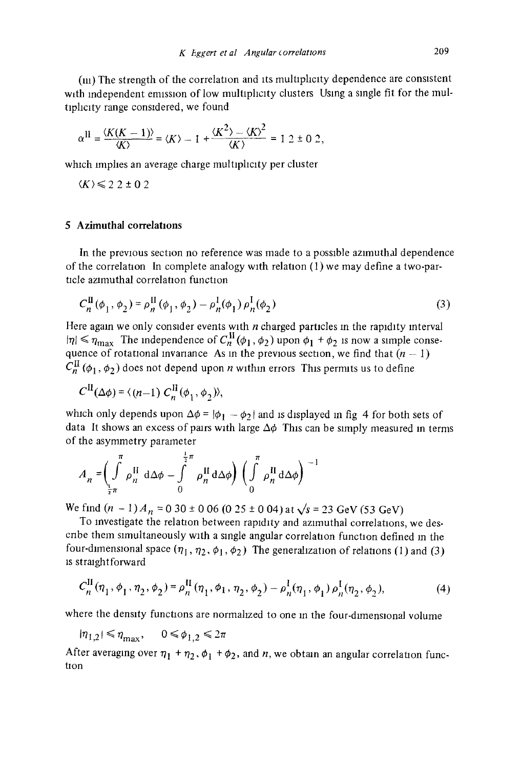(iii) The strength of the correlation and its multiplicity dependence are consistent with independent emission of low multiplicity clusters Using a single fit for the multiphcity range considered, we found

$$
\alpha^{\text{II}} = \frac{\langle K(K-1) \rangle}{\langle K \rangle} = \langle K \rangle - 1 + \frac{\langle K^2 \rangle - \langle K \rangle^2}{\langle K \rangle} = 1 \cdot 2 \pm 0 \cdot 2,
$$

which implies an average charge multiplicity per cluster

 $\langle K \rangle \leq 22 \pm 0.2$ 

#### 5 Azimuthal correlations

In the previous section no reference was made to a possible azimuthal dependence of the correlation In complete analogy with relation  $(1)$  we may define a two-particle azimuthal correlation function

$$
C_n^{\text{II}}(\phi_1, \phi_2) = \rho_n^{\text{II}}(\phi_1, \phi_2) - \rho_n^{\text{I}}(\phi_1) \rho_n^{\text{I}}(\phi_2)
$$
 (3)

Here again we only consider events with  $n$  charged particles in the rapidity interval  $|\eta| \leq \eta_{\text{max}}$  The independence of  $C_n^{\text{II}}(\phi_1,\phi_2)$  upon  $\phi_1 + \phi_2$  is now a simple consequence of rotational invariance As in the previous section, we find that  $(n - 1)$  $C_n^{\text{II}}(\phi_1,\phi_2)$  does not depend upon *n* within errors This permits us to define

$$
C^{\text{II}}(\Delta\phi) = \langle (n-1) C^{\text{II}}_n(\phi_1, \phi_2) \rangle,
$$

which only depends upon  $\Delta \phi = |\phi_1 - \phi_2|$  and is displayed in fig 4 for both sets of data It shows an excess of pairs with large  $\Delta\phi$  This can be simply measured in terms of the asymmetry parameter

$$
A_n = \left(\int\limits_{\frac{1}{2}\pi}^{\pi} \rho_n^{\text{II}} \, \mathrm{d}\Delta\phi - \int\limits_{0}^{\frac{1}{2}\pi} \rho_n^{\text{II}} \, \mathrm{d}\Delta\phi\right) \left(\int\limits_{0}^{\pi} \rho_n^{\text{II}} \, \mathrm{d}\Delta\phi\right)^{-1}
$$

We find  $(n - 1)A_n = 0.30 \pm 0.06$  (0.25  $\pm$  0.04) at  $\sqrt{s} = 23$  GeV (53 GeV)

To investigate the relation between rapidity and azimuthal correlations, we descnbe them simultaneously with a single angular correlation function defined in the four-dimensional space  $(\eta_1, \eta_2, \phi_1, \phi_2)$  The generalization of relations (1) and (3) is straightforward

$$
C_n^{\text{II}}(\eta_1, \phi_1, \eta_2, \phi_2) = \rho_n^{\text{II}}(\eta_1, \phi_1, \eta_2, \phi_2) - \rho_n^{\text{I}}(\eta_1, \phi_1) \rho_n^{\text{I}}(\eta_2, \phi_2),\tag{4}
$$

where the density functions are normalized to one in the four-dimensional volume

 $|\eta_{1,2}| \le \eta_{\text{max}}, \quad 0 \le \phi_{1,2} \le 2\pi$ 

After averaging over  $\eta_1 + \eta_2$ ,  $\phi_1 + \phi_2$ , and n, we obtain an angular correlation function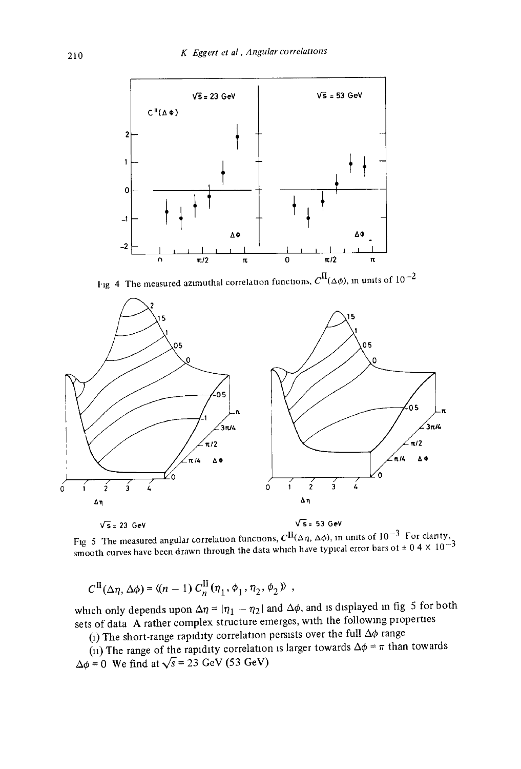

Fig 4 The measured azimuthal correlation functions,  $C^{II}(\Delta\phi)$ , in units of  $10^{-2}$ 



Fig 5. The measured angular correlation functions,  $C^{\mathbf{H}}(\Delta\eta, \Delta\phi)$ , in units of 10  $^{-3}$  For clarity, smooth curves have been drawn through the data which have typical error bars of  $\pm 0.4 \times 10^{-3}$ 

$$
C^{\rm II}(\Delta\eta,\Delta\phi) = \langle (n-1) C^{\rm II}_n(\eta_1,\phi_1,\eta_2,\phi_2) \rangle ,
$$

which only depends upon  $\Delta \eta = |\eta_1 - \eta_2|$  and  $\Delta \phi$ , and is displayed in fig 5 for both sets of data A rather complex structure emerges, with the following properties

(1) The short-range rapidity correlation persists over the full  $\Delta\phi$  range

(11) The range of the rapidity correlation is larger towards  $\Delta \phi = \pi$  than towards  $\Delta\phi = 0$  We find at  $\sqrt{s} = 23$  GeV (53 GeV)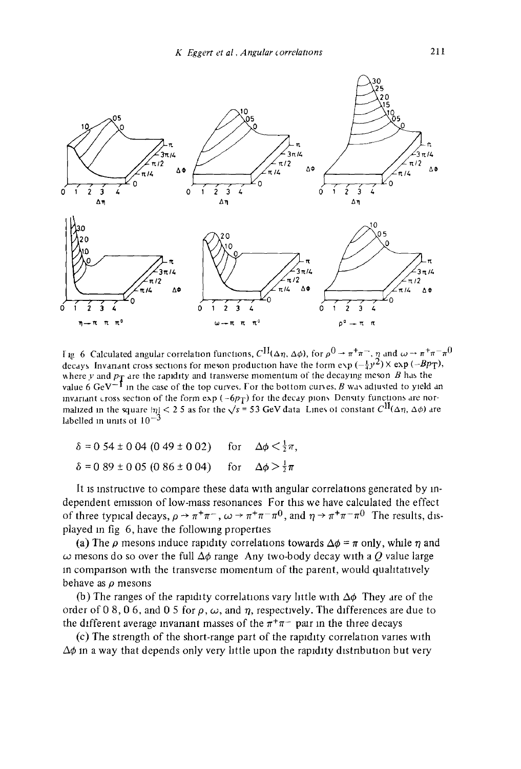

I ig 6 Calculated angular correlation functions,  $Cl^{\{I\}}(\Delta \eta, \Delta \phi)$ , for  $\rho^0 \to \pi^+\pi^-, \eta$  and  $\omega \to \pi^+\pi^-\pi^0$ decays Invanant cross sections for meson production have the form  $\exp(-\frac{1}{4}y^2) \times \exp(-Bp_T)$ , where y and  $p_T$  are the rapidity and transverse momentum of the decaying meson B has the value 6 GeV<sup>-T</sup> in the case of the top curves. For the bottom curves, B was adjusted to yield an invariant cross section of the form exp ( $-6p_T$ ) for the decay pions. Density functions are normalized in the square  $|\eta| < 2.5$  as for the  $\sqrt{s} = 53$  GeV data Lines of constant  $C^{II}(\Delta \eta, \Delta \phi)$  are labelled in units of  $10<sup>-3</sup>$ 

| $\delta = 0.54 \pm 0.04 (0.49 \pm 0.02)$ for $\Delta \phi \leq \frac{1}{2} \pi$ , |  |
|-----------------------------------------------------------------------------------|--|
| $\delta = 0.89 \pm 0.05 (0.86 \pm 0.04)$ for $\Delta \phi > \frac{1}{2}\pi$       |  |

It is instructive to compare these data with angular correlations generated by independent emission of low-mass resonances For this we have calculated the effect of three typical decays,  $\rho \to \pi^+\pi^-$ ,  $\omega \to \pi^+\pi^-\pi^0$ , and  $\eta \to \pi^+\pi^-\pi^0$  The results, displayed in fig 6, have the following properties

(a) The  $\rho$  mesons induce rapidity correlations towards  $\Delta \phi = \pi$  only, while  $\eta$  and  $\omega$  mesons do so over the full  $\Delta\phi$  range Any two-body decay with a Q value large m comparison with the transverse momentum of the parent, would quahtatwely behave as  $\rho$  mesons

(b) The ranges of the rapidity correlations vary little with  $\Delta\phi$ . They are of the order of 0 8, 0 6, and 0 5 for  $\rho$ ,  $\omega$ , and  $\eta$ , respectively. The differences are due to the different average invariant masses of the  $\pi^+\pi^-$  pair in the three decays

(c) The strength of the short-range part of the rapidity correlation vanes with  $\Delta\phi$  in a way that depends only very little upon the rapidity distribution but very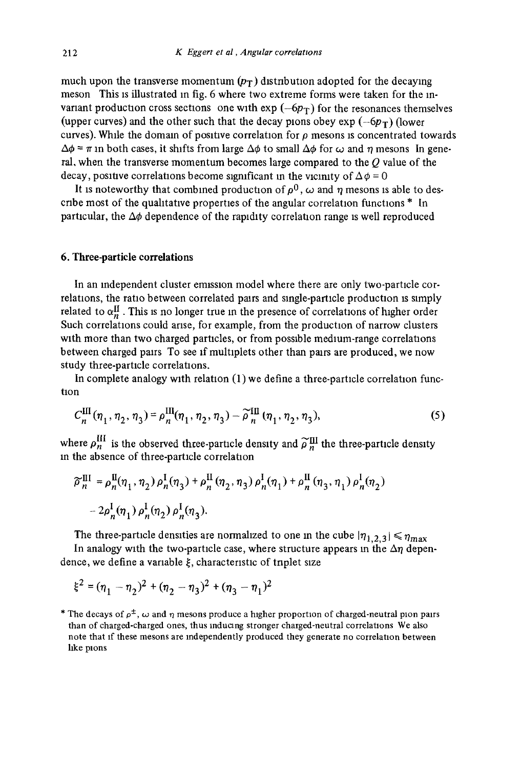much upon the transverse momentum  $(p_T)$  distribution adopted for the decaying meson This is illustrated in fig. 6 where two extreme forms were taken for the mvariant production cross sections one with  $\exp(-6p_T)$  for the resonances themselves (upper curves) and the other such that the decay plons obey  $\exp(-6p_T)$  (lower curves). While the domain of positive correlation for  $\rho$  mesons is concentrated towards  $\Delta\phi = \pi$  in both cases, it shifts from large  $\Delta\phi$  to small  $\Delta\phi$  for  $\omega$  and  $\eta$  mesons In general, when the transverse momentum becomes large compared to the  $Q$  value of the decay, positive correlations become significant in the vicinity of  $\Delta\phi=0$ 

It is noteworthy that combined production of  $\rho^0$ ,  $\omega$  and  $\eta$  mesons is able to describe most of the qualitative properties of the angular correlation functions  $*$  In particular, the  $\Delta\phi$  dependence of the rapidity correlation range is well reproduced

#### 6. Three-particle correlations

In an independent cluster emission model where there are only two-particle correlations, the ratio between correlated parrs and single-particle production :s simply related to  $\alpha_n^{\text{II}}$ . This is no longer true in the presence of correlations of higher order Such correlations could arise, for example, from the production of narrow clusters with more than two charged particles, or from possible medium-range correlations between charged pairs To see if multlplets other than pairs are produced, we now study three-particle correlations.

In complete analogy with relation  $(1)$  we define a three-particle correlation function

$$
C_n^{\text{III}}(\eta_1, \eta_2, \eta_3) = \rho_n^{\text{III}}(\eta_1, \eta_2, \eta_3) - \widetilde{\rho}_n^{\text{III}}(\eta_1, \eta_2, \eta_3),\tag{5}
$$

where  $\rho_n^{\text{III}}$  is the observed three-particle density and  $\tilde{\rho}_n^{\text{III}}$  the three-particle density m the absence of three-particle correlation

$$
\begin{aligned} \n\widetilde{\rho}_n^{\text{III}} &= \rho_n^{\text{II}}(\eta_1, \eta_2) \, \rho_n^{\text{I}}(\eta_3) + \rho_n^{\text{II}}(\eta_2, \eta_3) \, \rho_n^{\text{I}}(\eta_1) + \rho_n^{\text{II}}(\eta_3, \eta_1) \, \rho_n^{\text{I}}(\eta_2) \\ \n&- 2\rho_n^{\text{I}}(\eta_1) \, \rho_n^{\text{I}}(\eta_2) \, \rho_n^{\text{I}}(\eta_3). \n\end{aligned}
$$

The three-particle densities are normalized to one in the cube  $|\eta_{1,2,3}| \leq \eta_{\text{max}}$ 

In analogy with the two-particle case, where structure appears in the  $\Delta \eta$  dependence, we define a variable  $\xi$ , characteristic of triplet size

$$
\xi^2 = (\eta_1 - \eta_2)^2 + (\eta_2 - \eta_3)^2 + (\eta_3 - \eta_1)^2
$$

\* The decays of  $\rho^{\pm}$ ,  $\omega$  and  $\eta$  mesons produce a higher proportion of charged-neutral plon pairs than of charged-charged ones, thus mducang stronger charged-neutral correlations We also note that if these mesons are independently produced they generate no correlation between hke plons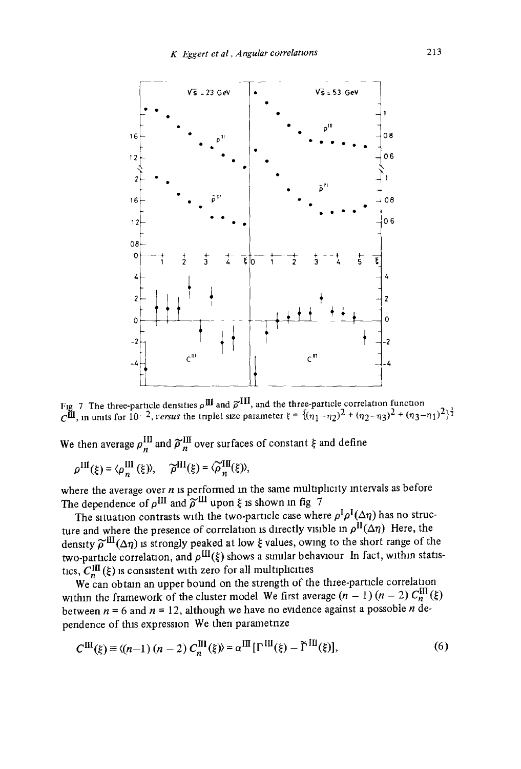

Fig 7 The three-particle densities  $\rho$ <sup>III</sup> and  $\tilde{\rho}^{111}$ , and the three-particle correlation function C<sup>III</sup>, in units for  $10^{-2}$ , *versus* the triplet size parameter  $\xi = \frac{1(n_1-n_2)^2 + (n_2-n_3)^2 + (n_3-n_1)^2}{2}$ 

We then average  $\rho_n^{\text{III}}$  and  $\tilde{\rho}_n^{\text{III}}$  over surfaces of constant  $\xi$  and define

$$
\rho^{\text{III}}(\xi) = \langle \rho_n^{\text{III}}(\xi) \rangle, \quad \widetilde{\rho}^{\text{III}}(\xi) = \langle \widetilde{\rho}_n^{\text{III}}(\xi) \rangle,
$$

where the average over  $n$  is performed in the same multiplicity intervals as before The dependence of  $\rho^{\text{III}}$  and  $\tilde{\rho}^{\text{III}}$  upon  $\xi$  is shown in fig  $\bar{7}$ 

The situation contrasts with the two-particle case where  $\rho^I \rho^I(\Delta \eta)$  has no structure and where the presence of correlation is directly visible in  $\rho^{\text{II}}(\Delta \eta)$  Here, the density  $\tilde{\rho}^{III}(\Delta \eta)$  is strongly peaked at low  $\xi$  values, owing to the short range of the two-particle correlation, and  $\rho^{\text{III}}(\xi)$  shows a similar behaviour In fact, within statistics,  $C_n^{\text{III}}(\xi)$  is consistent with zero for all multiplicities

We can obtain an upper bound on the strength of the three-particle correlation within the framework of the cluster model We first average  $(n - 1) (n - 2) C_m^{\text{III}}(\xi)$ between  $n = 6$  and  $n = 12$ , although we have no evidence against a possoble n dependence of this expression We then parametnze

$$
C^{III}(\xi) \equiv \langle (n-1)(n-2) C_n^{III}(\xi) \rangle = \alpha^{III} [\Gamma^{III}(\xi) - \tilde{\Gamma}^{III}(\xi)], \tag{6}
$$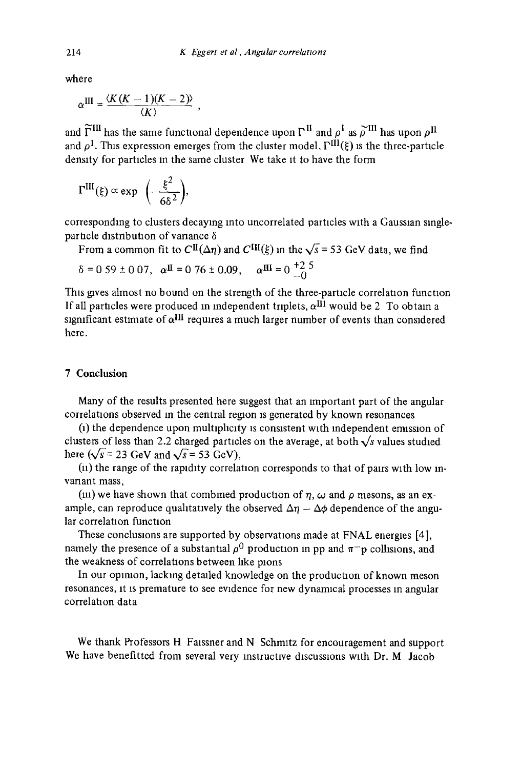where

$$
\alpha^{III} = \frac{\langle K(K-1)(K-2) \rangle}{\langle K \rangle}
$$

and  $\widetilde{\Gamma}^{III}$  has the same functional dependence upon  $\Gamma^{II}$  and  $\rho^I$  as  $\widetilde{\rho}^{III}$  has upon  $\rho^{II}$ and  $\rho^I$ . This expression emerges from the cluster model,  $\Gamma^{III}(\xi)$  is the three-particle density for particles m the same cluster We take it to have the form

$$
\Gamma^{\text{III}}(\xi) \propto \exp\ \left(-\frac{\xi^2}{6\delta^2}\right),\,
$$

corresponding to clusters decaying into uncorrelated particles with a Gaussian singleparticle distribution of variance  $\delta$ 

From a common fit to  $Cl(\Delta \eta)$  and  $ClH(\xi)$  in the  $\sqrt{s}$  = 53 GeV data, we find

$$
\delta = 0.59 \pm 0.07
$$
,  $\alpha^{II} = 0.76 \pm 0.09$ ,  $\alpha^{III} = 0.25$ 

This gives almost no bound on the strength of the three-particle correlation function If all particles were produced in independent triplets,  $\alpha^{III}$  would be 2 To obtain a significant estimate of  $\alpha$ <sup>III</sup> requires a much larger number of events than considered here.

# 7 Conclusion

Many of the results presented here suggest that an Important part of the angular correlations observed in the central region is generated by known resonances

0) the dependence upon multiplicity is consistent with Independent emission of clusters of less than 2.2 charged particles on the average, at both  $\sqrt{s}$  values studied here ( $\sqrt{s}$  = 23 GeV and  $\sqrt{s}$  = 53 GeV),

 $(n)$  the range of the rapidity correlation corresponds to that of pairs with low invariant mass,

(iii) we have shown that combined production of  $\eta$ ,  $\omega$  and  $\rho$  mesons, as an example, can reproduce qualitatively the observed  $\Delta \eta - \Delta \phi$  dependence of the angular correlation function

These conclusions are supported by observations made at FNAL energies [4], namely the presence of a substantial  $\rho^0$  production in pp and  $\pi^-$  p collisions, and the weakness of correlations between like pions

In our opinion, lacking detailed knowledge on the production of known meson resonances, it is premature to see evidence for new dynamical processes in angular correlation data

We thank Professors H Faissner and N Schmitz for encouragement and support We have benefitted from several very instructive discussions with Dr. M Jacob